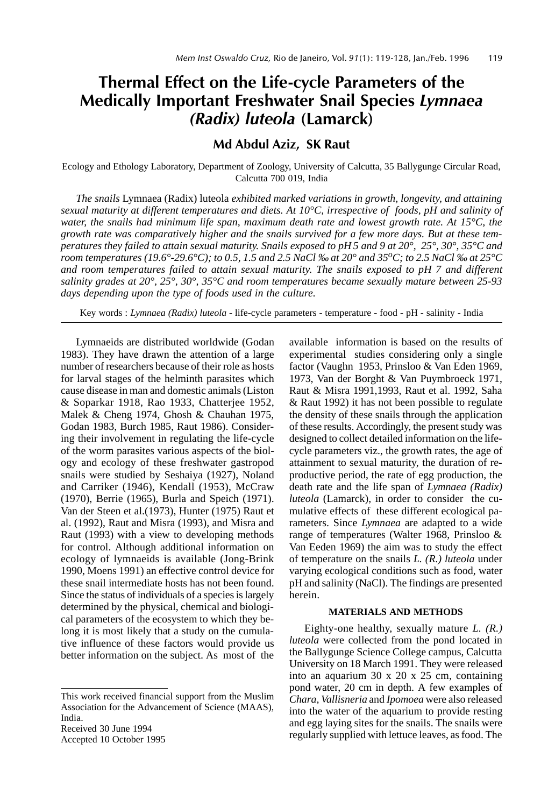# Thermal Effect on the Life-cycle Parameters of the Medically Important Freshwater Snail Species Lymnaea (Radix) luteola (Lamarck)

# Md Abdul Aziz, SK Raut

Ecology and Ethology Laboratory, Department of Zoology, University of Calcutta, 35 Ballygunge Circular Road, Calcutta 700 019, India

*The snails* Lymnaea (Radix) luteola *exhibited marked variations in growth, longevity, and attaining sexual maturity at different temperatures and diets. At 10°C, irrespective of foods, pH and salinity of water, the snails had minimum life span, maximum death rate and lowest growth rate. At 15°C, the growth rate was comparatively higher and the snails survived for a few more days. But at these temperatures they failed to attain sexual maturity. Snails exposed to pH 5 and 9 at 20°, 25°, 30°, 35°C and room temperatures (19.6°-29.6°C); to 0.5, 1.5 and 2.5 NaCl ‰ at 20° and 35oC; to 2.5 NaCl ‰ at 25°C and room temperatures failed to attain sexual maturity. The snails exposed to pH 7 and different salinity grades at 20°, 25°, 30°, 35°C and room temperatures became sexually mature between 25-93 days depending upon the type of foods used in the culture.*

Key words : *Lymnaea (Radix) luteola* - life-cycle parameters - temperature - food - pH - salinity - India

Lymnaeids are distributed worldwide (Godan 1983). They have drawn the attention of a large number of researchers because of their role as hosts for larval stages of the helminth parasites which cause disease in man and domestic animals (Liston & Soparkar 1918, Rao 1933, Chatterjee 1952, Malek & Cheng 1974, Ghosh & Chauhan 1975, Godan 1983, Burch 1985, Raut 1986). Considering their involvement in regulating the life-cycle of the worm parasites various aspects of the biology and ecology of these freshwater gastropod snails were studied by Seshaiya (1927), Noland and Carriker (1946), Kendall (1953), McCraw (1970), Berrie (1965), Burla and Speich (1971). Van der Steen et al.(1973), Hunter (1975) Raut et al. (1992), Raut and Misra (1993), and Misra and Raut (1993) with a view to developing methods for control. Although additional information on ecology of lymnaeids is available (Jong-Brink 1990, Moens 1991) an effective control device for these snail intermediate hosts has not been found. Since the status of individuals of a species is largely determined by the physical, chemical and biological parameters of the ecosystem to which they belong it is most likely that a study on the cumulative influence of these factors would provide us better information on the subject. As most of the

Received 30 June 1994

Accepted 10 October 1995

available information is based on the results of experimental studies considering only a single factor (Vaughn 1953, Prinsloo & Van Eden 1969, 1973, Van der Borght & Van Puymbroeck 1971, Raut & Misra 1991,1993, Raut et al. 1992, Saha & Raut 1992) it has not been possible to regulate the density of these snails through the application of these results. Accordingly, the present study was designed to collect detailed information on the lifecycle parameters viz., the growth rates, the age of attainment to sexual maturity, the duration of reproductive period, the rate of egg production, the death rate and the life span of *Lymnaea (Radix) luteola* (Lamarck), in order to consider the cumulative effects of these different ecological parameters. Since *Lymnaea* are adapted to a wide range of temperatures (Walter 1968, Prinsloo & Van Eeden 1969) the aim was to study the effect of temperature on the snails *L. (R.) luteola* under varying ecological conditions such as food, water pH and salinity (NaCl). The findings are presented herein.

### **MATERIALS AND METHODS**

Eighty-one healthy, sexually mature *L. (R.) luteola* were collected from the pond located in the Ballygunge Science College campus, Calcutta University on 18 March 1991. They were released into an aquarium 30 x 20 x 25 cm, containing pond water, 20 cm in depth. A few examples of *Chara, Vallisneria* and *Ipomoea* were also released into the water of the aquarium to provide resting and egg laying sites for the snails. The snails were regularly supplied with lettuce leaves, as food. The

This work received financial support from the Muslim Association for the Advancement of Science (MAAS), India.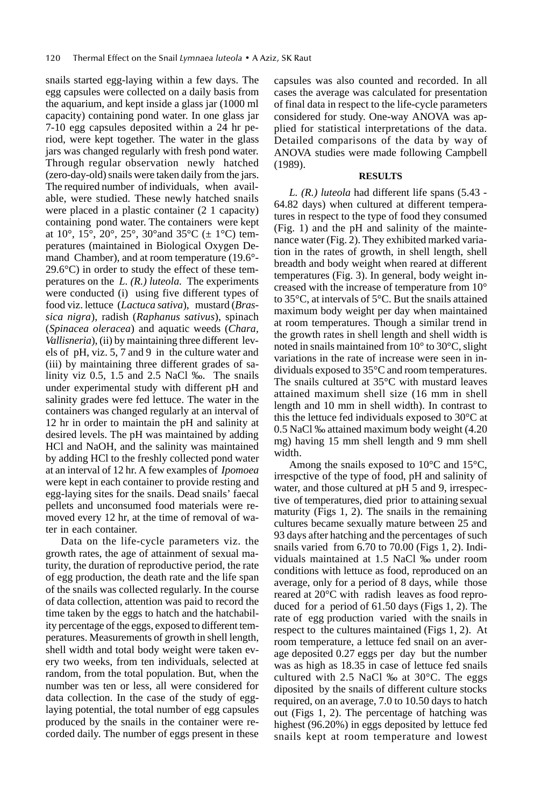snails started egg-laying within a few days. The egg capsules were collected on a daily basis from the aquarium, and kept inside a glass jar (1000 ml capacity) containing pond water. In one glass jar 7-10 egg capsules deposited within a 24 hr period, were kept together. The water in the glass jars was changed regularly with fresh pond water. Through regular observation newly hatched (zero-day-old) snails were taken daily from the jars. The required number of individuals, when available, were studied. These newly hatched snails were placed in a plastic container (2 1 capacity) containing pond water. The containers were kept at  $10^{\circ}$ ,  $15^{\circ}$ ,  $20^{\circ}$ ,  $25^{\circ}$ ,  $30^{\circ}$  and  $35^{\circ}$ C ( $\pm$  1°C) temperatures (maintained in Biological Oxygen Demand Chamber), and at room temperature (19.6°- 29.6°C) in order to study the effect of these temperatures on the *L. (R.) luteola.* The experiments were conducted (i) using five different types of food viz. lettuce (*Lactuca sativa*), mustard (*Brassica nigra*), radish (*Raphanus sativus*), spinach (*Spinacea oleracea*) and aquatic weeds (*Chara, Vallisneria*), (ii) by maintaining three different levels of pH, viz. 5, 7 and 9 in the culture water and (iii) by maintaining three different grades of salinity viz 0.5, 1.5 and 2.5 NaCl ‰. The snails under experimental study with different pH and salinity grades were fed lettuce. The water in the containers was changed regularly at an interval of 12 hr in order to maintain the pH and salinity at desired levels. The pH was maintained by adding HCl and NaOH, and the salinity was maintained by adding HCl to the freshly collected pond water at an interval of 12 hr. A few examples of *Ipomoea* were kept in each container to provide resting and egg-laying sites for the snails. Dead snails' faecal pellets and unconsumed food materials were removed every 12 hr, at the time of removal of water in each container.

Data on the life-cycle parameters viz. the growth rates, the age of attainment of sexual maturity, the duration of reproductive period, the rate of egg production, the death rate and the life span of the snails was collected regularly. In the course of data collection, attention was paid to record the time taken by the eggs to hatch and the hatchability percentage of the eggs, exposed to different temperatures. Measurements of growth in shell length, shell width and total body weight were taken every two weeks, from ten individuals, selected at random, from the total population. But, when the number was ten or less, all were considered for data collection. In the case of the study of egglaying potential, the total number of egg capsules produced by the snails in the container were recorded daily. The number of eggs present in these

capsules was also counted and recorded. In all cases the average was calculated for presentation of final data in respect to the life-cycle parameters considered for study. One-way ANOVA was applied for statistical interpretations of the data. Detailed comparisons of the data by way of ANOVA studies were made following Campbell (1989).

## **RESULTS**

*L. (R.) luteola* had different life spans (5.43 - 64.82 days) when cultured at different temperatures in respect to the type of food they consumed (Fig. 1) and the pH and salinity of the maintenance water (Fig. 2). They exhibited marked variation in the rates of growth, in shell length, shell breadth and body weight when reared at different temperatures (Fig. 3). In general, body weight increased with the increase of temperature from 10° to 35°C, at intervals of 5°C. But the snails attained maximum body weight per day when maintained at room temperatures. Though a similar trend in the growth rates in shell length and shell width is noted in snails maintained from 10° to 30°C, slight variations in the rate of increase were seen in individuals exposed to 35°C and room temperatures. The snails cultured at 35°C with mustard leaves attained maximum shell size (16 mm in shell length and 10 mm in shell width). In contrast to this the lettuce fed individuals exposed to 30°C at 0.5 NaCl ‰ attained maximum body weight (4.20 mg) having 15 mm shell length and 9 mm shell width.

Among the snails exposed to 10°C and 15°C, irrespctive of the type of food, pH and salinity of water, and those cultured at pH 5 and 9, irrespective of temperatures, died prior to attaining sexual maturity (Figs 1, 2). The snails in the remaining cultures became sexually mature between 25 and 93 days after hatching and the percentages of such snails varied from 6.70 to 70.00 (Figs 1, 2). Individuals maintained at 1.5 NaCl ‰ under room conditions with lettuce as food, reproduced on an average, only for a period of 8 days, while those reared at 20°C with radish leaves as food reproduced for a period of 61.50 days (Figs 1, 2). The rate of egg production varied with the snails in respect to the cultures maintained (Figs 1, 2). At room temperature, a lettuce fed snail on an average deposited 0.27 eggs per day but the number was as high as 18.35 in case of lettuce fed snails cultured with 2.5 NaCl ‰ at 30°C. The eggs diposited by the snails of different culture stocks required, on an average, 7.0 to 10.50 days to hatch out (Figs 1, 2). The percentage of hatching was highest (96.20%) in eggs deposited by lettuce fed snails kept at room temperature and lowest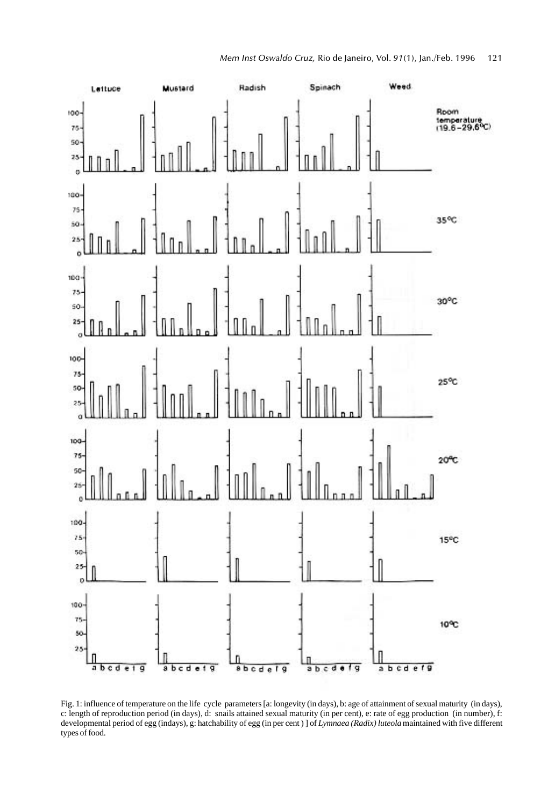

Fig. 1: influence of temperature on the life cycle parameters [a: longevity (in days), b: age of attainment of sexual maturity (in days), c: length of reproduction period (in days), d: snails attained sexual maturity (in per cent), e: rate of egg production (in number), f: developmental period of egg (indays), g: hatchability of egg (in per cent ) ] of *Lymnaea (Radix) luteola* maintained with five different types of food.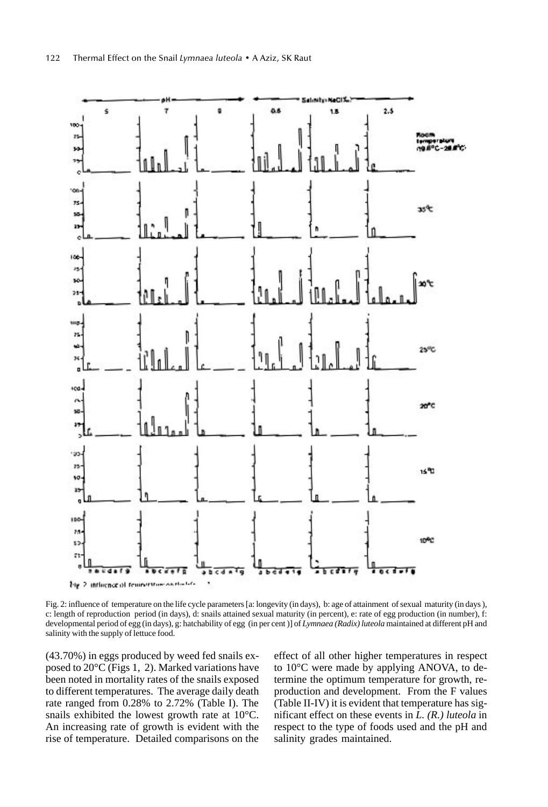

Fig. 2: influence of temperature on the life cycle parameters [a: longevity (in days), b: age of attainment of sexual maturity (in days ), c: length of reproduction period (in days), d: snails attained sexual maturity (in percent), e: rate of egg production (in number), f: developmental period of egg (in days), g: hatchability of egg (in per cent )] of *Lymnaea (Radix) luteola* maintained at different pH and salinity with the supply of lettuce food.

(43.70%) in eggs produced by weed fed snails exposed to 20°C (Figs 1, 2). Marked variations have been noted in mortality rates of the snails exposed to different temperatures. The average daily death rate ranged from 0.28% to 2.72% (Table I). The snails exhibited the lowest growth rate at 10°C. An increasing rate of growth is evident with the rise of temperature. Detailed comparisons on the

effect of all other higher temperatures in respect to 10°C were made by applying ANOVA, to determine the optimum temperature for growth, reproduction and development. From the F values (Table II-IV) it is evident that temperature has significant effect on these events in *L. (R.) luteola* in respect to the type of foods used and the pH and salinity grades maintained.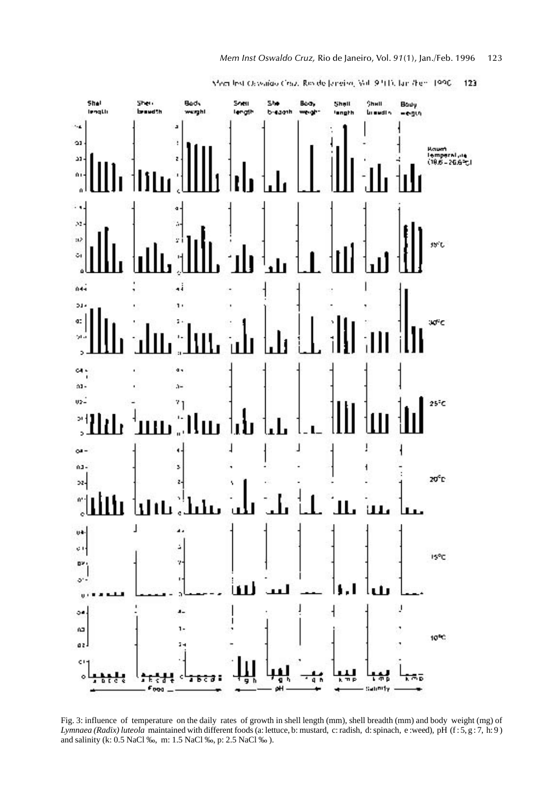

ISPC.

10%

۸ō

J.

÷.

Salimity

┫

ŧ,

븏

Member Oswaldo Chuz, Revide Jeneiro, Vol. 9 910, fan /hen. 1990 - $123$ 

Fig. 3: influence of temperature on the daily rates of growth in shell length (mm), shell breadth (mm) and body weight (mg) of *Lymnaea (Radix) luteola* maintained with different foods (a: lettuce, b: mustard, c: radish, d: spinach, e :weed), pH (f : 5, g : 7, h: 9) and salinity (k: 0.5 NaCl ‰, m: 1.5 NaCl ‰, p: 2.5 NaCl ‰ ).

a ī

oΗ

9

ÿ

x.

 $\overline{1}$ 

ž.

¢

π₹

 $F_{000}$ .

7678

**DY**  $\phi^*$  $\mathbf{u}$ 

ő.

îΩ,

az.

c)

۸

t

n r c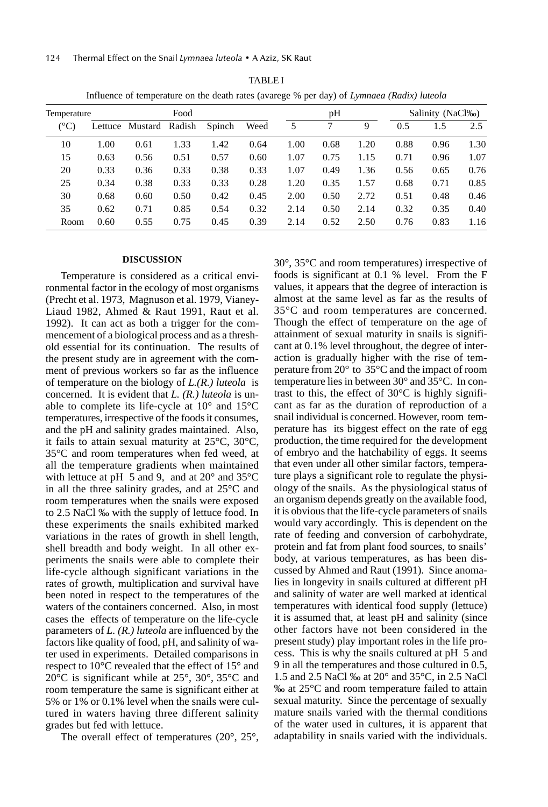124 Thermal Effect on the Snail Lymnaea luteola • A Aziz, SK Raut

| Temperature |      | Food                   |      |        |      |      | pH   |      |      | Salinity (NaCl‰) |      |  |
|-------------|------|------------------------|------|--------|------|------|------|------|------|------------------|------|--|
| (°C)        |      | Lettuce Mustard Radish |      | Spinch | Weed | 5    | 7    | 9    | 0.5  | 1.5              | 2.5  |  |
| 10          | 1.00 | 0.61                   | 1.33 | 1.42   | 0.64 | 1.00 | 0.68 | 1.20 | 0.88 | 0.96             | 1.30 |  |
| 15          | 0.63 | 0.56                   | 0.51 | 0.57   | 0.60 | 1.07 | 0.75 | 1.15 | 0.71 | 0.96             | 1.07 |  |
| 20          | 0.33 | 0.36                   | 0.33 | 0.38   | 0.33 | 1.07 | 0.49 | 1.36 | 0.56 | 0.65             | 0.76 |  |
| 25          | 0.34 | 0.38                   | 0.33 | 0.33   | 0.28 | 1.20 | 0.35 | 1.57 | 0.68 | 0.71             | 0.85 |  |
| 30          | 0.68 | 0.60                   | 0.50 | 0.42   | 0.45 | 2.00 | 0.50 | 2.72 | 0.51 | 0.48             | 0.46 |  |
| 35          | 0.62 | 0.71                   | 0.85 | 0.54   | 0.32 | 2.14 | 0.50 | 2.14 | 0.32 | 0.35             | 0.40 |  |
| Room        | 0.60 | 0.55                   | 0.75 | 0.45   | 0.39 | 2.14 | 0.52 | 2.50 | 0.76 | 0.83             | 1.16 |  |

TABLE I Influence of temperature on the death rates (avarege % per day) of *Lymnaea (Radix) luteola*

#### **DISCUSSION**

Temperature is considered as a critical environmental factor in the ecology of most organisms (Precht et al. 1973, Magnuson et al. 1979, Vianey-Liaud 1982, Ahmed & Raut 1991, Raut et al. 1992). It can act as both a trigger for the commencement of a biological process and as a threshold essential for its continuation. The results of the present study are in agreement with the comment of previous workers so far as the influence of temperature on the biology of *L.(R.) luteola* is concerned. It is evident that *L. (R.) luteola* is unable to complete its life-cycle at 10° and 15°C temperatures, irrespective of the foods it consumes, and the pH and salinity grades maintained. Also, it fails to attain sexual maturity at 25°C, 30°C, 35°C and room temperatures when fed weed, at all the temperature gradients when maintained with lettuce at pH 5 and 9, and at  $20^{\circ}$  and  $35^{\circ}$ C in all the three salinity grades, and at 25°C and room temperatures when the snails were exposed to 2.5 NaCl ‰ with the supply of lettuce food. In these experiments the snails exhibited marked variations in the rates of growth in shell length, shell breadth and body weight. In all other experiments the snails were able to complete their life-cycle although significant variations in the rates of growth, multiplication and survival have been noted in respect to the temperatures of the waters of the containers concerned. Also, in most cases the effects of temperature on the life-cycle parameters of *L. (R.) luteola* are influenced by the factors like quality of food, pH, and salinity of water used in experiments. Detailed comparisons in respect to 10°C revealed that the effect of 15° and 20°C is significant while at 25°, 30°, 35°C and room temperature the same is significant either at 5% or 1% or 0.1% level when the snails were cultured in waters having three different salinity grades but fed with lettuce.

The overall effect of temperatures (20°, 25°,

30°, 35°C and room temperatures) irrespective of foods is significant at 0.1 % level. From the F values, it appears that the degree of interaction is almost at the same level as far as the results of 35°C and room temperatures are concerned. Though the effect of temperature on the age of attainment of sexual maturity in snails is significant at 0.1% level throughout, the degree of interaction is gradually higher with the rise of temperature from 20° to 35°C and the impact of room temperature lies in between 30° and 35°C. In contrast to this, the effect of 30°C is highly significant as far as the duration of reproduction of a snail individual is concerned. However, room temperature has its biggest effect on the rate of egg production, the time required for the development of embryo and the hatchability of eggs. It seems that even under all other similar factors, temperature plays a significant role to regulate the physiology of the snails. As the physiological status of an organism depends greatly on the available food, it is obvious that the life-cycle parameters of snails would vary accordingly. This is dependent on the rate of feeding and conversion of carbohydrate, protein and fat from plant food sources, to snails' body, at various temperatures, as has been discussed by Ahmed and Raut (1991). Since anomalies in longevity in snails cultured at different pH and salinity of water are well marked at identical temperatures with identical food supply (lettuce) it is assumed that, at least pH and salinity (since other factors have not been considered in the present study) play important roles in the life process. This is why the snails cultured at pH 5 and 9 in all the temperatures and those cultured in 0.5, 1.5 and 2.5 NaCl ‰ at 20° and 35°C, in 2.5 NaCl ‰ at 25°C and room temperature failed to attain sexual maturity. Since the percentage of sexually mature snails varied with the thermal conditions of the water used in cultures, it is apparent that adaptability in snails varied with the individuals.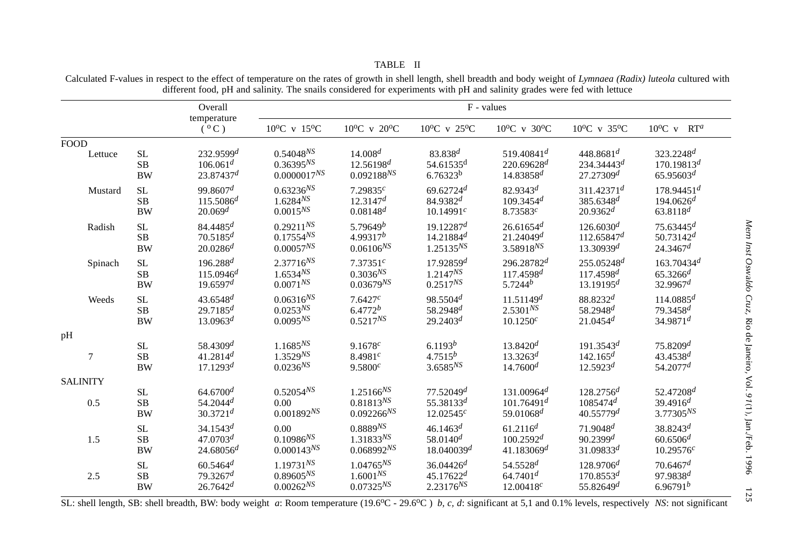|                 |           | Overall                      | F - values                      |                                 |                                  |                                    |                                  |                                  |  |  |
|-----------------|-----------|------------------------------|---------------------------------|---------------------------------|----------------------------------|------------------------------------|----------------------------------|----------------------------------|--|--|
|                 |           | temperature<br>$(^{\circ}C)$ | $10^{\circ}$ C v $15^{\circ}$ C | $10^{\circ}$ C v $20^{\circ}$ C | $10^{\circ}$ C v 25 $^{\circ}$ C | $10^{\circ}$ C v 30 <sup>o</sup> C | $10^{\circ}$ C v 35 $^{\circ}$ C | $10^{\circ}$ C v RT <sup>a</sup> |  |  |
| <b>FOOD</b>     |           |                              |                                 |                                 |                                  |                                    |                                  |                                  |  |  |
| Lettuce         | <b>SL</b> | 232.9599 <sup>d</sup>        | $0.54048^{NS}$                  | $14.008^{d}$                    | 83.838d                          | $519.40841^d$                      | 448.8681 <sup>d</sup>            | 323.2248 <sup>d</sup>            |  |  |
|                 | SB        | $106.061^d$                  | $0.36395^{NS}$                  | $12.56198^{d}$                  | $54.61535$ <sup>d</sup>          | $220.69628^d$                      | $234.34443^d$                    | $170.19813^{d}$                  |  |  |
|                 | <b>BW</b> | 23.87437 <sup>d</sup>        | $0.0000017^{NS}$                | $0.092188^{NS}$                 | 6.76323 <sup>b</sup>             | $14.83858^{d}$                     | 27.27309 <sup>d</sup>            | $65.95603^{d}$                   |  |  |
| Mustard         | SL        | 99.8607 <sup>d</sup>         | $0.63236^{NS}$                  | 7.29835 $^{c}$                  | $69.62724$ <sup>d</sup>          | $82.9343^{d}$                      | $311.42371^d$                    | $178.94451^d$                    |  |  |
|                 | <b>SB</b> | $115.5086^{d}$               | $1.6284^{NS}$                   | 12.3147 <sup>d</sup>            | $84.9382^{d}$                    | $109.3454$ <sup>d</sup>            | $385.6348^{d}$                   | $194.0626^d$                     |  |  |
|                 | <b>BW</b> | 20.069 <sup>d</sup>          | $0.0015^{NS}$                   | $0.08148$ <sup>d</sup>          | 10.14991c                        | 8.73583c                           | $20.9362^{d}$                    | $63.8118^{d}$                    |  |  |
| Radish          | SL        | $84.4485^d$                  | $0.29211^{N}$                   | 5.79649 <sup>b</sup>            | $19.12287^d$                     | 26.61654 <sup>d</sup>              | $126.6030^{d}$                   | $75.63445^{d}$                   |  |  |
|                 | SB        | $70.5185^{d}$                | $0.17554^{NS}$                  | $4.99317^b$                     | $14.21884^d$                     | $21.24049^d$                       | 112.65847 <sup>d</sup>           | $50.73142^{d}$                   |  |  |
|                 | <b>BW</b> | $20.0286^{d}$                | $0.00057^{NS}$                  | $0.06106^{NS}$                  | $1.25135^{NS}$                   | $3.58918^{NS}$                     | 13.30939 <sup>d</sup>            | 24.3467 <sup>d</sup>             |  |  |
| Spinach         | <b>SL</b> | $196.288^{d}$                | $2.37716^{NS}$                  | 7.37351c                        | $17.92859^{d}$                   | $296.28782$ <sup>d</sup>           | $255.05248^{d}$                  | $163.70434$ <sup>d</sup>         |  |  |
|                 | $\rm SB$  | $115.0946^{d}$               | $1.6534^{NS}$                   | $0.3036^{NS}$                   | $1.2147^{NS}$                    | $117.4598^{d}$                     | $117.4598^{d}$                   | $65.3266$ <sup>d</sup>           |  |  |
|                 | <b>BW</b> | 19.6597 <sup>d</sup>         | $0.0071^{NS}$                   | $0.03679^{NS}$                  | $0.2517^{NS}$                    | $5.7244^{b}$                       | 13.19195 <sup>d</sup>            | 32.9967 <sup>d</sup>             |  |  |
| Weeds           | <b>SL</b> | $43.6548^{d}$                | $0.06316^{NS}$                  | 7.6427c                         | 98.5504 <sup>d</sup>             | 11.51149 <sup>d</sup>              | 88.8232d                         | $114.0885^{d}$                   |  |  |
|                 | SB        | $29.7185^{d}$                | $0.0253^{NS}$                   | $6.4772^{b}$                    | $58.2948$ <sup>d</sup>           | $2.5301^{NS}$                      | 58.2948 <sup>d</sup>             | 79.3458 <sup>d</sup>             |  |  |
|                 | <b>BW</b> | $13.0963^d$                  | $0.0095^{NS}$                   | $0.5217^{NS}$                   | $29.2403^{d}$                    | $10.1250^{c}$                      | $21.0454^d$                      | 34.9871 <sup>d</sup>             |  |  |
| pH              |           |                              |                                 |                                 |                                  |                                    |                                  |                                  |  |  |
| 7               | SL        | $58.4309^{d}$                | $1.1685^{NS}$                   | 9.1678c                         | 6.1193 <sup>b</sup>              | $13.8420^{d}$                      | $191.3543^d$                     | 75.8209 <sup>d</sup>             |  |  |
|                 | SB        | $41.2814^{d}$                | $1.3529^{NS}$                   | 8.4981c                         | $4.7515^{b}$                     | $13.3263^{d}$                      | $142.165^d$                      | 43.4538 <sup>d</sup>             |  |  |
|                 | <b>BW</b> | 17.1293 <sup>d</sup>         | $0.0236^{NS}$                   | $9.5800^{c}$                    | $3.6585^{NS}$                    | $14.7600^{d}$                      | $12.5923^{d}$                    | 54.2077 <sup>d</sup>             |  |  |
| <b>SALINITY</b> |           |                              |                                 |                                 |                                  |                                    |                                  |                                  |  |  |
| 0.5             | SL        | 64.6700 <sup>d</sup>         | $0.52054^{NS}$                  | $1.25166^{NS}$                  | 77.52049 <sup>d</sup>            | $131.00964^d$                      | $128.2756^{d}$                   | $52.47208^{d}$                   |  |  |
|                 | SB        | $54.2044$ <sup>d</sup>       | 0.00                            | $0.81813^{NS}$                  | 55.38133 <sup>d</sup>            | $101.76491^d$                      | $1085474^d$                      | $39.4916^{d}$                    |  |  |
|                 | <b>BW</b> | $30.3721$ <sup>d</sup>       | $0.001892^{NS}$                 | $0.092266^{NS}$                 | 12.02545c                        | $59.01068$ <sup>d</sup>            | 40.55779 <sup>d</sup>            | $3.77305^{NS}$                   |  |  |
| 1.5             | SL        | 34.1543 <sup>d</sup>         | 0.00                            | $0.8889^{NS}$                   | $46.1463^d$                      | $61.2116^{d}$                      | $71.9048^{d}$                    | $38.8243^{d}$                    |  |  |
|                 | SB        | 47.0703 <sup>d</sup>         | $0.10986^{NS}$                  | $1.31833^{NS}$                  | $58.0140^{d}$                    | $100.2592^d$                       | 90.2399 <sup>d</sup>             | $60.6506^{d}$                    |  |  |
|                 | <b>BW</b> | $24.68056^{d}$               | $0.000143^{NS}$                 | $0.068992^{NS}$                 | $18.040039^d$                    | $41.183069^d$                      | $31.09833^d$                     | 10.29576c                        |  |  |
| 2.5             | SL        | $60.5464$ <sup>d</sup>       | $1.19731^{N}S$                  | $1.04765^{NS}$                  | $36.04426^{d}$                   | $54.5528$ <sup>d</sup>             | $128.9706^{d}$                   | $70.6467$ <sup>d</sup>           |  |  |
|                 | SB        | 79.3267 <sup>d</sup>         | $0.89605^{NS}$                  | $1.6001^{NS}$                   | $45.17622^d$                     | $64.7401^d$                        | $170.8553^d$                     | $97.9838^{d}$                    |  |  |
|                 | <b>BW</b> | $26.7642^d$                  | $0.00262^{NS}$                  | $0.07325^{NS}$                  | $2.23176^{NS}$                   | 12.00418c                          | 55.82649 <sup>d</sup>            | $6.96791^{b}$                    |  |  |

TABLE IICalculated F-values in respect to the effect of temperature on the rates of growth in shell length, shell breadth and body weight of *Lymnaea (Radix) luteola* cultured with different food, pH and salinity. The snails considered for experiments with pH and salinity grades were fed with lettuce

SL: shell length, SB: shell breadth, BW: body weight *a*: Room temperature (19.6<sup>o</sup>C - 29.6<sup>o</sup>C) *b, c, d*: significant at 5,1 and 0.1% levels, respectively *NS*: not significant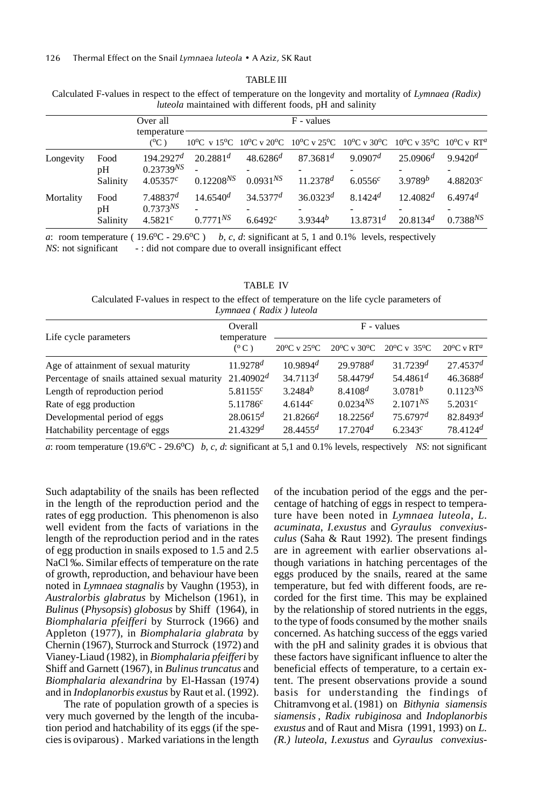#### TABLE III

Calculated F-values in respect to the effect of temperature on the longevity and mortality of *Lymnaea (Radix) luteola* maintained with different foods, pH and salinity

|           |                | Over all                              |                |                      | F - values                                                                         |                     |               |                       |
|-----------|----------------|---------------------------------------|----------------|----------------------|------------------------------------------------------------------------------------|---------------------|---------------|-----------------------|
|           |                | temperature<br>$(^{0}C)$              |                |                      | 10°C v 15°C 10°C v 20°C 10°C v 25°C 10°C v 30°C 10°C v 35°C 10°C v RT <sup>a</sup> |                     |               |                       |
| Longevity | Food           | $194.2927^d$                          | $20.2881^d$    | $48.6286^{d}$        | $87.3681^{d}$                                                                      | 9.0907 <sup>d</sup> | $25.0906^{d}$ | $9.9420$ <sup>d</sup> |
|           | pH<br>Salinity | $0.23739^{NS}$<br>4.05357c            | $0.12208^{NS}$ | $0.0931^{N}$         | $11.2378^{d}$                                                                      | 6.0556c             | $3.9789^b$    | 4.88203 $^{c}$        |
| Mortality | Food<br>pΗ     | 7.48837 <sup>d</sup><br>$0.7373^{NS}$ | $14.6540^{d}$  | 34.5377 <sup>d</sup> | $36.0323^d$                                                                        | $8.1424^{d}$        | $12.4082^d$   | $6.4974$ <sup>d</sup> |
|           | Salinity       | $4.5821^{c}$                          | $0.7771^{N}S$  | 6.6492c              | $3.9344^{b}$                                                                       | $13.8731^{d}$       | $20.8134^{d}$ | $0.7388^{NS}$         |

*a*: room temperature (  $19.6^{\circ}$ C -  $29.6^{\circ}$ C ) *b, c, d*: significant at 5, 1 and 0.1% levels, respectively *NS*: not significant -: did not compare due to overall insignificant effect

| <b>TABLE IV</b>                                                                             |
|---------------------------------------------------------------------------------------------|
| Calculated F-values in respect to the effect of temperature on the life cycle parameters of |
| Lymnaea ( Radix ) luteola                                                                   |

|                                               | Overall                      | F - values                      |                                 |                                  |                                  |  |
|-----------------------------------------------|------------------------------|---------------------------------|---------------------------------|----------------------------------|----------------------------------|--|
| Life cycle parameters                         | temperature<br>$(^{\circ}C)$ | $20^{\circ}$ C v $25^{\circ}$ C | $20^{\circ}$ C v $30^{\circ}$ C | $20^{\circ}$ C v 35 $^{\circ}$ C | $20^{\circ}$ C v RT <sup>a</sup> |  |
| Age of attainment of sexual maturity          | $11.9278^{d}$                | $10.9894$ <sup>d</sup>          | $29.9788$ <sup>d</sup>          | 31.7239 <sup>d</sup>             | 27.4537 <sup>d</sup>             |  |
| Percentage of snails attained sexual maturity | $21.40902^d$                 | $34.7113^{d}$                   | $58.4479^{d}$                   | 54.4861 $d$                      | $46.3688$ <sup>d</sup>           |  |
| Length of reproduction period                 | 5.81155c                     | $3.2484^{b}$                    | $8.4108^{d}$                    | $3.0781^{b}$                     | $0.1123^{NS}$                    |  |
| Rate of egg production                        | 5.11786 $^{c}$               | 4.6144c                         | $0.0234^{NS}$                   | $2.1071^{NS}$                    | 5.2031 <sup>c</sup>              |  |
| Developmental period of eggs                  | $28.0615^d$                  | $21.8266^{d}$                   | $18.2256^{d}$                   | $75.6797^d$                      | 82.8493 $d$                      |  |
| Hatchability percentage of eggs               | 21.4329 <sup>d</sup>         | $28.4455^d$                     | 17.2704 <sup>d</sup>            | 6.2343c                          | $78.4124$ <sup>d</sup>           |  |

*a*: room temperature (19.6<sup>o</sup>C - 29.6<sup>o</sup>C) *b, c, d*: significant at 5,1 and 0.1% levels, respectively *NS*: not significant

Such adaptability of the snails has been reflected in the length of the reproduction period and the rates of egg production. This phenomenon is also well evident from the facts of variations in the length of the reproduction period and in the rates of egg production in snails exposed to 1.5 and 2.5 NaCl ‰. Similar effects of temperature on the rate of growth, reproduction, and behaviour have been noted in *Lymnaea stagnalis* by Vaughn (1953), in *Australorbis glabratus* by Michelson (1961), in *Bulinus* (*Physopsis*) *globosus* by Shiff (1964), in *Biomphalaria pfeifferi* by Sturrock (1966) and Appleton (1977), in *Biomphalaria glabrata* by Chernin (1967), Sturrock and Sturrock (1972) and Vianey-Liaud (1982), in *Biomphalaria pfeifferi* by Shiff and Garnett (1967), in *Bulinus truncatus* and *Biomphalaria alexandrina* by El-Hassan (1974) and in *Indoplanorbis exustus* by Raut et al. (1992).

 The rate of population growth of a species is very much governed by the length of the incubation period and hatchability of its eggs (if the species is oviparous) . Marked variations in the length of the incubation period of the eggs and the percentage of hatching of eggs in respect to temperature have been noted in *Lymnaea luteola*, *L. acuminata*, *I.exustus* and *Gyraulus convexiusculus* (Saha & Raut 1992). The present findings are in agreement with earlier observations although variations in hatching percentages of the eggs produced by the snails, reared at the same temperature, but fed with different foods, are recorded for the first time. This may be explained by the relationship of stored nutrients in the eggs, to the type of foods consumed by the mother snails concerned. As hatching success of the eggs varied with the pH and salinity grades it is obvious that these factors have significant influence to alter the beneficial effects of temperature, to a certain extent. The present observations provide a sound basis for understanding the findings of Chitramvong et al. (1981) on *Bithynia siamensis siamensis* , *Radix rubiginosa* and *Indoplanorbis exustus* and of Raut and Misra (1991, 1993) on *L. (R.) luteola*, *I.exustus* and *Gyraulus convexius-*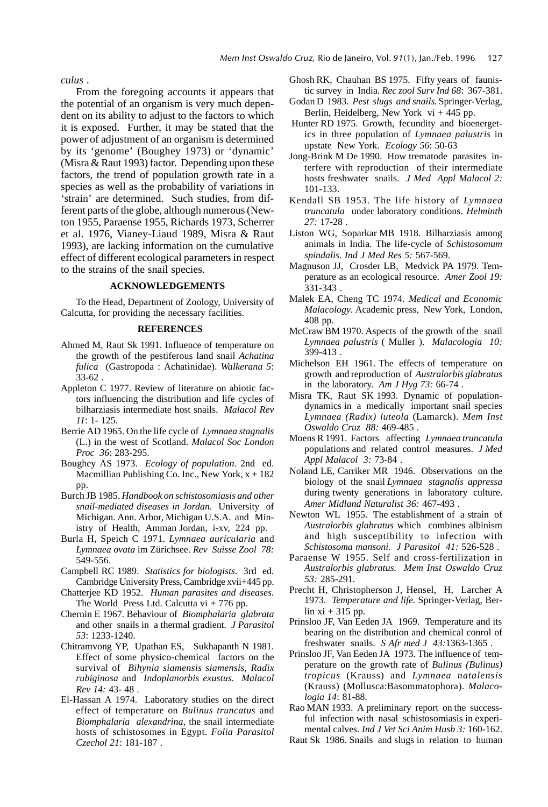*culus .*

From the foregoing accounts it appears that the potential of an organism is very much dependent on its ability to adjust to the factors to which it is exposed. Further, it may be stated that the power of adjustment of an organism is determined by its 'genome' (Boughey 1973) or 'dynamic' (Misra & Raut 1993) factor. Depending upon these factors, the trend of population growth rate in a species as well as the probability of variations in 'strain' are determined. Such studies, from different parts of the globe, although numerous (Newton 1955, Paraense 1955, Richards 1973, Scherrer et al. 1976, Vianey-Liaud 1989, Misra & Raut 1993), are lacking information on the cumulative effect of different ecological parameters in respect to the strains of the snail species.

# **ACKNOWLEDGEMENTS**

To the Head, Department of Zoology, University of Calcutta, for providing the necessary facilities.

#### **REFERENCES**

- Ahmed M, Raut Sk 1991. Influence of temperature on the growth of the pestiferous land snail *Achatina fulica* (Gastropoda : Achatinidae). *Walkerana 5*: 33-62 .
- Appleton C 1977. Review of literature on abiotic factors influencing the distribution and life cycles of bilharziasis intermediate host snails. *Malacol Rev 11*: 1- 125.
- Berrie AD 1965. On the life cycle of *Lymnaea stagnalis* (L.) in the west of Scotland. *Malacol Soc London Proc 36*: 283-295.
- Boughey AS 1973. *Ecology of population*. 2nd ed. Macmillian Publishing Co. Inc., New York,  $x + 182$ pp.
- Burch JB 1985. *Handbook on schistosomiasis and other snail-mediated diseases in Jordan*. University of Michigan. Ann. Arbor, Michigan U.S.A. and Ministry of Health, Amman Jordan, i-xv, 224 pp.
- Burla H, Speich C 1971. *Lymnaea auricularia* and *Lymnaea ovata* im Zürichsee. *Rev Suisse Zool 78:* 549-556.
- Campbell RC 1989. *Statistics for biologists*. 3rd ed. Cambridge University Press, Cambridge xvii+445 pp.
- Chatterjee KD 1952. *Human parasites and diseases*. The World Press Ltd. Calcutta vi + 776 pp.
- Chernin E 1967. Behaviour of *Biomphalaria glabrata* and other snails in a thermal gradient*. J Parasitol 53*: 1233-1240.
- Chitramvong YP, Upathan ES, Sukhapanth N 1981. Effect of some physico-chemical factors on the survival of *Bihynia siamensis siamensis*, *Radix rubiginosa* and *Indoplanorbis exustus*. *Malacol Rev 14:* 43- 48 .
- El-Hassan A 1974. Laboratory studies on the direct effect of temperature on *Bulinus truncatus* and *Biomphalaria alexandrina*, the snail intermediate hosts of schistosomes in Egypt. *Folia Parasitol Czechol 21*: 181-187 .
- Ghosh RK, Chauhan BS 1975. Fifty years of faunistic survey in India. *Rec zool Surv Ind 68*: 367-381.
- Godan D 1983. *Pest slugs and snails*. Springer-Verlag, Berlin, Heidelberg, New York vi + 445 pp.
- Hunter RD 1975. Growth, fecundity and bioenergetics in three population of *Lymnaea palustris* in upstate New York. *Ecology 56*: 50-63
- Jong-Brink M De 1990. How trematode parasites interfere with reproduction of their intermediate hosts freshwater snails. *J Med Appl Malacol 2:* 101-133.
- Kendall SB 1953. The life history of *Lymnaea truncatula* under laboratory conditions. *Helminth 27:* 17-28 .
- Liston WG, Soparkar MB 1918. Bilharziasis among animals in India. The life-cycle of *Schistosomum spindalis*. *Ind J Med Res 5:* 567-569.
- Magnuson JJ, Crosder LB, Medvick PA 1979. Temperature as an ecological resource. *Amer Zool 19:* 331-343 .
- Malek EA, Cheng TC 1974. *Medical and Economic Malacology*. Academic press, New York, London, 408 pp.
- McCraw BM 1970. Aspects of the growth of the snail *Lymnaea palustris* ( Muller ). *Malacologia 10:* 399-413 .
- Michelson EH 1961. The effects of temperature on growth and reproduction of *Australorbis glabratus* in the laboratory. *Am J Hyg 73:* 66-74 .
- Misra TK, Raut SK 1993. Dynamic of populationdynamics in a medically important snail species *Lymnaea (Radix) luteola* (Lamarck). *Mem Inst Oswaldo Cruz 88:* 469-485 .
- Moens R 1991. Factors affecting *Lymnaea truncatula* populations and related control measures. *J Med Appl Malacol 3:* 73-84 .
- Noland LE, Carriker MR 1946. Observations on the biology of the snail *Lymnaea stagnalis appressa* during twenty generations in laboratory culture. *Amer Midland Naturalist 36:* 467-493 .
- Newton WL 1955. The establishment of a strain of *Australorbis glabratus* which combines albinism and high susceptibility to infection with *Schistosoma mansoni*. *J Parasitol 41:* 526-528 .
- Paraense W 1955. Self and cross-fertilization in *Australorbis glabratus. Mem Inst Oswaldo Cruz 53:* 285-291.
- Precht H, Christopherson J, Hensel, H, Larcher A 1973. *Temperature and life.* Springer-Verlag, Berlin  $xi + 315$  pp.
- Prinsloo JF, Van Eeden JA 1969. Temperature and its bearing on the distribution and chemical conrol of freshwater snails. *S Afr med J 43:*1363-1365 .
- Prinsloo JF, Van Eeden JA 1973. The influence of temperature on the growth rate of *Bulinus (Bulinus) tropicus* (Krauss) and *Lymnaea natalensis* (Krauss) (Mollusca:Basommatophora). *Malacologia 14*: 81-88.
- Rao MAN 1933. A preliminary report on the successful infection with nasal schistosomiasis in experimental calves. *Ind J Vet Sci Anim Husb 3:* 160-162.
- Raut Sk 1986. Snails and slugs in relation to human